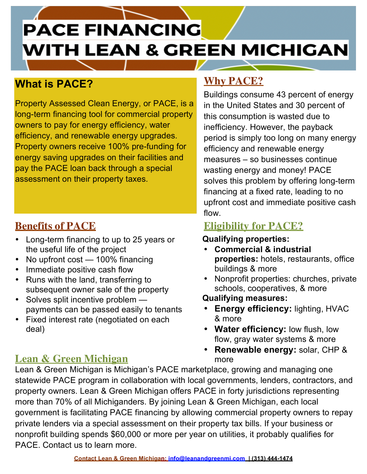# **PACE FINANCING WITH LEAN & GREEN MICHIGAN**

## **What is PACE?**

Property Assessed Clean Energy, or PACE, is a long-term financing tool for commercial property owners to pay for energy efficiency, water efficiency, and renewable energy upgrades. Property owners receive 100% pre-funding for energy saving upgrades on their facilities and pay the PACE loan back through a special assessment on their property taxes.

#### **Benefits of PACE**

- Long-term financing to up to 25 years or the useful life of the project
- No upfront cost 100% financing
- Immediate positive cash flow
- Runs with the land, transferring to subsequent owner sale of the property
- Solves split incentive problem payments can be passed easily to tenants
- Fixed interest rate (negotiated on each deal)

#### **Lean & Green Michigan** more

## **Why PACE?**

Buildings consume 43 percent of energy in the United States and 30 percent of this consumption is wasted due to inefficiency. However, the payback period is simply too long on many energy efficiency and renewable energy measures – so businesses continue wasting energy and money! PACE solves this problem by offering long-term financing at a fixed rate, leading to no upfront cost and immediate positive cash flow.

## **Eligibility for PACE?**

#### **Qualifying properties:**

- **Commercial & industrial properties:** hotels, restaurants, office buildings & more
- Nonprofit properties: churches, private schools, cooperatives, & more

 **Qualifying measures:** 

- **Energy efficiency: lighting, HVAC** & more
- **Water efficiency:** low flush, low flow, gray water systems & more
- **Renewable energy:** solar, CHP &

Lean & Green Michigan is Michigan's PACE marketplace, growing and managing one statewide PACE program in collaboration with local governments, lenders, contractors, and property owners. Lean & Green Michigan offers PACE in forty jurisdictions representing more than 70% of all Michiganders. By joining Lean & Green Michigan, each local government is facilitating PACE financing by allowing commercial property owners to repay private lenders via a special assessment on their property tax bills. If your business or nonprofit building spends \$60,000 or more per year on utilities, it probably qualifies for PACE. Contact us to learn more.